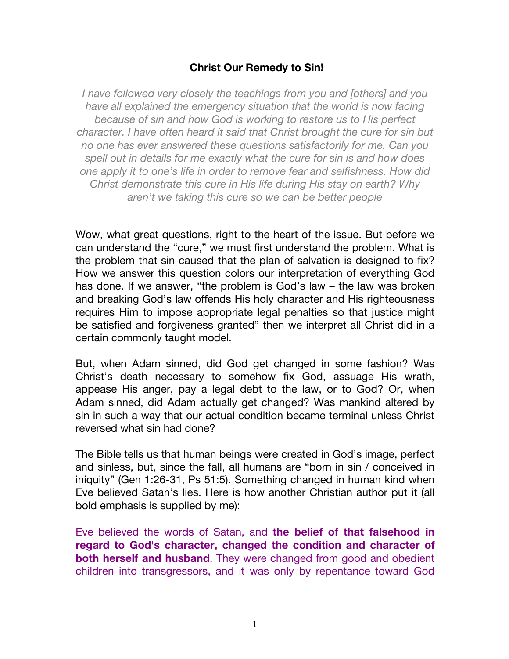## **Christ Our Remedy to Sin!**

*I have followed very closely the teachings from you and [others] and you have all explained the emergency situation that the world is now facing because of sin and how God is working to restore us to His perfect character. I have often heard it said that Christ brought the cure for sin but no one has ever answered these questions satisfactorily for me. Can you spell out in details for me exactly what the cure for sin is and how does one apply it to one's life in order to remove fear and selfishness. How did Christ demonstrate this cure in His life during His stay on earth? Why aren't we taking this cure so we can be better people*

Wow, what great questions, right to the heart of the issue. But before we can understand the "cure," we must first understand the problem. What is the problem that sin caused that the plan of salvation is designed to fix? How we answer this question colors our interpretation of everything God has done. If we answer, "the problem is God's law – the law was broken and breaking God's law offends His holy character and His righteousness requires Him to impose appropriate legal penalties so that justice might be satisfied and forgiveness granted" then we interpret all Christ did in a certain commonly taught model.

But, when Adam sinned, did God get changed in some fashion? Was Christ's death necessary to somehow fix God, assuage His wrath, appease His anger, pay a legal debt to the law, or to God? Or, when Adam sinned, did Adam actually get changed? Was mankind altered by sin in such a way that our actual condition became terminal unless Christ reversed what sin had done?

The Bible tells us that human beings were created in God's image, perfect and sinless, but, since the fall, all humans are "born in sin / conceived in iniquity" (Gen 1:26-31, Ps 51:5). Something changed in human kind when Eve believed Satan's lies. Here is how another Christian author put it (all bold emphasis is supplied by me):

Eve believed the words of Satan, and **the belief of that falsehood in regard to God's character, changed the condition and character of both herself and husband**. They were changed from good and obedient children into transgressors, and it was only by repentance toward God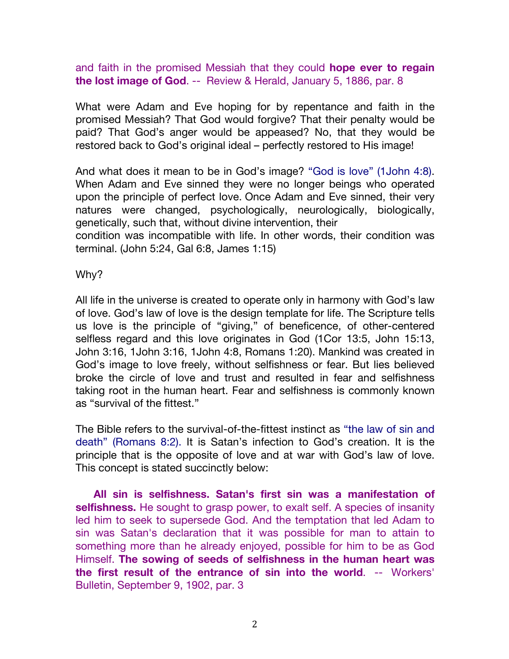and faith in the promised Messiah that they could **hope ever to regain the lost image of God**. -- Review & Herald, January 5, 1886, par. 8

What were Adam and Eve hoping for by repentance and faith in the promised Messiah? That God would forgive? That their penalty would be paid? That God's anger would be appeased? No, that they would be restored back to God's original ideal – perfectly restored to His image!

And what does it mean to be in God's image? "God is love" (1John 4:8). When Adam and Eve sinned they were no longer beings who operated upon the principle of perfect love. Once Adam and Eve sinned, their very natures were changed, psychologically, neurologically, biologically, genetically, such that, without divine intervention, their

condition was incompatible with life. In other words, their condition was terminal. (John 5:24, Gal 6:8, James 1:15)

Why?

All life in the universe is created to operate only in harmony with God's law of love. God's law of love is the design template for life. The Scripture tells us love is the principle of "giving," of beneficence, of other-centered selfless regard and this love originates in God (1Cor 13:5, John 15:13, John 3:16, 1John 3:16, 1John 4:8, Romans 1:20). Mankind was created in God's image to love freely, without selfishness or fear. But lies believed broke the circle of love and trust and resulted in fear and selfishness taking root in the human heart. Fear and selfishness is commonly known as "survival of the fittest."

The Bible refers to the survival-of-the-fittest instinct as "the law of sin and death" (Romans 8:2). It is Satan's infection to God's creation. It is the principle that is the opposite of love and at war with God's law of love. This concept is stated succinctly below:

**All sin is selfishness. Satan's first sin was a manifestation of selfishness.** He sought to grasp power, to exalt self. A species of insanity led him to seek to supersede God. And the temptation that led Adam to sin was Satan's declaration that it was possible for man to attain to something more than he already enjoyed, possible for him to be as God Himself. **The sowing of seeds of selfishness in the human heart was the first result of the entrance of sin into the world**. -- Workers' Bulletin, September 9, 1902, par. 3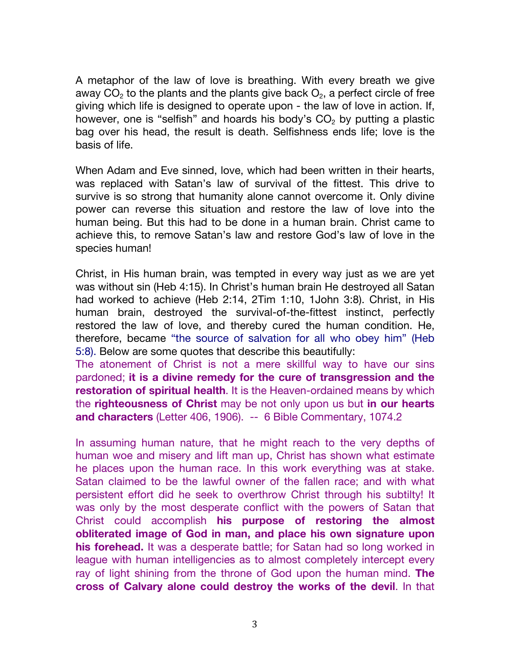A metaphor of the law of love is breathing. With every breath we give away  $CO<sub>2</sub>$  to the plants and the plants give back  $O<sub>2</sub>$ , a perfect circle of free giving which life is designed to operate upon - the law of love in action. If, however, one is "selfish" and hoards his body's  $CO<sub>2</sub>$  by putting a plastic bag over his head, the result is death. Selfishness ends life; love is the basis of life.

When Adam and Eve sinned, love, which had been written in their hearts, was replaced with Satan's law of survival of the fittest. This drive to survive is so strong that humanity alone cannot overcome it. Only divine power can reverse this situation and restore the law of love into the human being. But this had to be done in a human brain. Christ came to achieve this, to remove Satan's law and restore God's law of love in the species human!

Christ, in His human brain, was tempted in every way just as we are yet was without sin (Heb 4:15). In Christ's human brain He destroyed all Satan had worked to achieve (Heb 2:14, 2Tim 1:10, 1John 3:8). Christ, in His human brain, destroyed the survival-of-the-fittest instinct, perfectly restored the law of love, and thereby cured the human condition. He, therefore, became "the source of salvation for all who obey him" (Heb 5:8). Below are some quotes that describe this beautifully:

The atonement of Christ is not a mere skillful way to have our sins pardoned; **it is a divine remedy for the cure of transgression and the restoration of spiritual health**. It is the Heaven-ordained means by which the **righteousness of Christ** may be not only upon us but **in our hearts and characters** (Letter 406, 1906). -- 6 Bible Commentary, 1074.2

In assuming human nature, that he might reach to the very depths of human woe and misery and lift man up, Christ has shown what estimate he places upon the human race. In this work everything was at stake. Satan claimed to be the lawful owner of the fallen race; and with what persistent effort did he seek to overthrow Christ through his subtilty! It was only by the most desperate conflict with the powers of Satan that Christ could accomplish **his purpose of restoring the almost obliterated image of God in man, and place his own signature upon his forehead.** It was a desperate battle; for Satan had so long worked in league with human intelligencies as to almost completely intercept every ray of light shining from the throne of God upon the human mind. **The cross of Calvary alone could destroy the works of the devil**. In that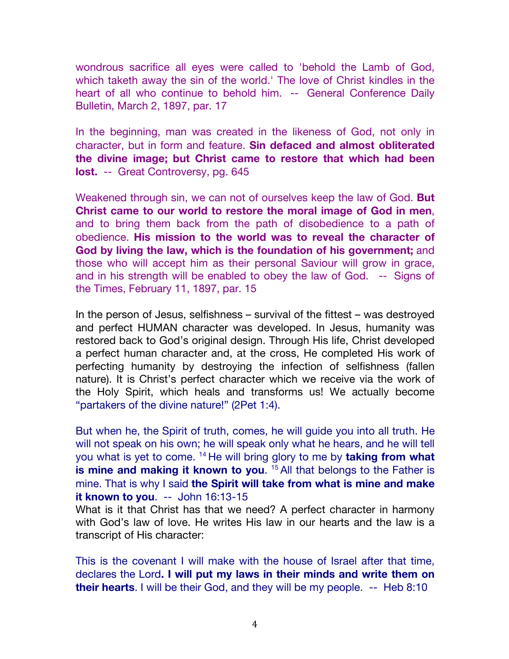wondrous sacrifice all eyes were called to 'behold the Lamb of God, which taketh away the sin of the world.' The love of Christ kindles in the heart of all who continue to behold him. -- General Conference Daily Bulletin, March 2, 1897, par. 17

In the beginning, man was created in the likeness of God, not only in character, but in form and feature. **Sin defaced and almost obliterated the divine image; but Christ came to restore that which had been lost.** -- Great Controversy, pg. 645

Weakened through sin, we can not of ourselves keep the law of God. **But Christ came to our world to restore the moral image of God in men**, and to bring them back from the path of disobedience to a path of obedience. **His mission to the world was to reveal the character of God by living the law, which is the foundation of his government;** and those who will accept him as their personal Saviour will grow in grace, and in his strength will be enabled to obey the law of God. -- Signs of the Times, February 11, 1897, par. 15

In the person of Jesus, selfishness – survival of the fittest – was destroyed and perfect HUMAN character was developed. In Jesus, humanity was restored back to God's original design. Through His life, Christ developed a perfect human character and, at the cross, He completed His work of perfecting humanity by destroying the infection of selfishness (fallen nature). It is Christ's perfect character which we receive via the work of the Holy Spirit, which heals and transforms us! We actually become "partakers of the divine nature!" (2Pet 1:4).

But when he, the Spirit of truth, comes, he will guide you into all truth. He will not speak on his own; he will speak only what he hears, and he will tell you what is yet to come. 14 He will bring glory to me by **taking from what is mine and making it known to you.** <sup>15</sup> All that belongs to the Father is mine. That is why I said **the Spirit will take from what is mine and make it known to you**. -- John 16:13-15

What is it that Christ has that we need? A perfect character in harmony with God's law of love. He writes His law in our hearts and the law is a transcript of His character:

This is the covenant I will make with the house of Israel after that time, declares the Lord**. I will put my laws in their minds and write them on their hearts**. I will be their God, and they will be my people. -- Heb 8:10